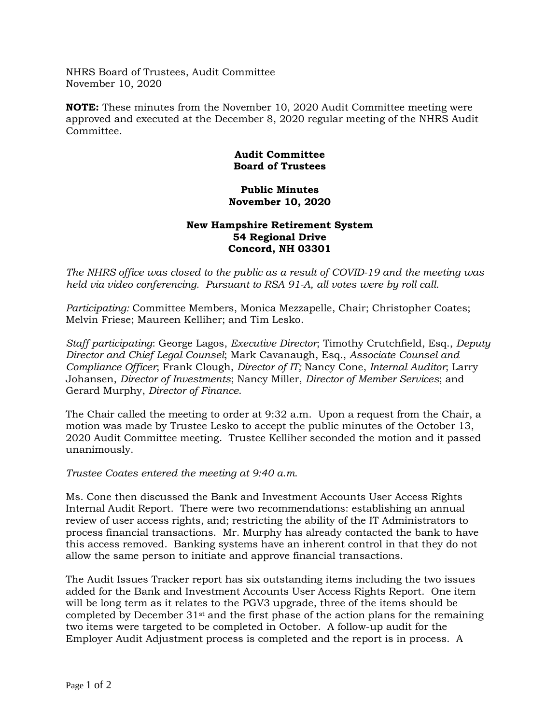NHRS Board of Trustees, Audit Committee November 10, 2020

**NOTE:** These minutes from the November 10, 2020 Audit Committee meeting were approved and executed at the December 8, 2020 regular meeting of the NHRS Audit Committee.

## **Audit Committee Board of Trustees**

## **Public Minutes November 10, 2020**

## **New Hampshire Retirement System 54 Regional Drive Concord, NH 03301**

*The NHRS office was closed to the public as a result of COVID-19 and the meeting was held via video conferencing. Pursuant to RSA 91-A, all votes were by roll call.*

*Participating:* Committee Members, Monica Mezzapelle, Chair; Christopher Coates; Melvin Friese; Maureen Kelliher; and Tim Lesko.

*Staff participating*: George Lagos, *Executive Director*; Timothy Crutchfield, Esq., *Deputy Director and Chief Legal Counsel*; Mark Cavanaugh, Esq., *Associate Counsel and Compliance Officer*; Frank Clough, *Director of IT;* Nancy Cone, *Internal Auditor*; Larry Johansen, *Director of Investments*; Nancy Miller, *Director of Member Services*; and Gerard Murphy, *Director of Finance*.

The Chair called the meeting to order at 9:32 a.m. Upon a request from the Chair, a motion was made by Trustee Lesko to accept the public minutes of the October 13, 2020 Audit Committee meeting. Trustee Kelliher seconded the motion and it passed unanimously.

*Trustee Coates entered the meeting at 9:40 a.m.*

Ms. Cone then discussed the Bank and Investment Accounts User Access Rights Internal Audit Report. There were two recommendations: establishing an annual review of user access rights, and; restricting the ability of the IT Administrators to process financial transactions. Mr. Murphy has already contacted the bank to have this access removed. Banking systems have an inherent control in that they do not allow the same person to initiate and approve financial transactions.

The Audit Issues Tracker report has six outstanding items including the two issues added for the Bank and Investment Accounts User Access Rights Report. One item will be long term as it relates to the PGV3 upgrade, three of the items should be completed by December  $31<sup>st</sup>$  and the first phase of the action plans for the remaining two items were targeted to be completed in October. A follow-up audit for the Employer Audit Adjustment process is completed and the report is in process. A